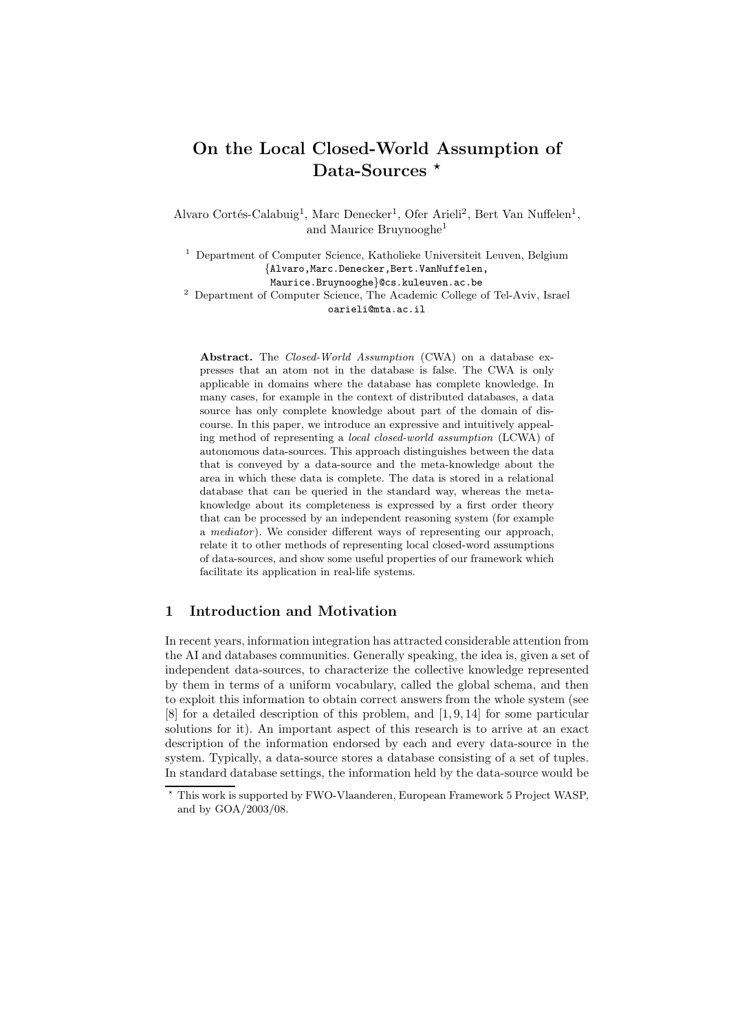# On the Local Closed-World Assumption of Data-Sources<sup>\*</sup>

Alvaro Cortés-Calabuig<sup>1</sup>, Marc Denecker<sup>1</sup>, Ofer Arieli<sup>2</sup>, Bert Van Nuffelen<sup>1</sup>, and Maurice Bruynooghe<sup>1</sup>

<sup>1</sup> Department of Computer Science, Katholieke Universiteit Leuven, Belgium {Alvaro,Marc.Denecker,Bert.VanNuffelen, Maurice.Bruynooghe}@cs.kuleuven.ac.be

<sup>2</sup> Department of Computer Science, The Academic College of Tel-Aviv, Israel oarieli@mta.ac.il

Abstract. The Closed-World Assumption (CWA) on a database expresses that an atom not in the database is false. The CWA is only applicable in domains where the database has complete knowledge. In many cases, for example in the context of distributed databases, a data source has only complete knowledge about part of the domain of discourse. In this paper, we introduce an expressive and intuitively appealing method of representing a local closed-world assumption (LCWA) of autonomous data-sources. This approach distinguishes between the data that is conveyed by a data-source and the meta-knowledge about the area in which these data is complete. The data is stored in a relational database that can be queried in the standard way, whereas the metaknowledge about its completeness is expressed by a first order theory that can be processed by an independent reasoning system (for example a mediator). We consider different ways of representing our approach, relate it to other methods of representing local closed-word assumptions of data-sources, and show some useful properties of our framework which facilitate its application in real-life systems.

# 1 Introduction and Motivation

In recent years, information integration has attracted considerable attention from the AI and databases communities. Generally speaking, the idea is, given a set of independent data-sources, to characterize the collective knowledge represented by them in terms of a uniform vocabulary, called the global schema, and then to exploit this information to obtain correct answers from the whole system (see [8] for a detailed description of this problem, and [1, 9, 14] for some particular solutions for it). An important aspect of this research is to arrive at an exact description of the information endorsed by each and every data-source in the system. Typically, a data-source stores a database consisting of a set of tuples. In standard database settings, the information held by the data-source would be

<sup>⋆</sup> This work is supported by FWO-Vlaanderen, European Framework 5 Project WASP, and by GOA/2003/08.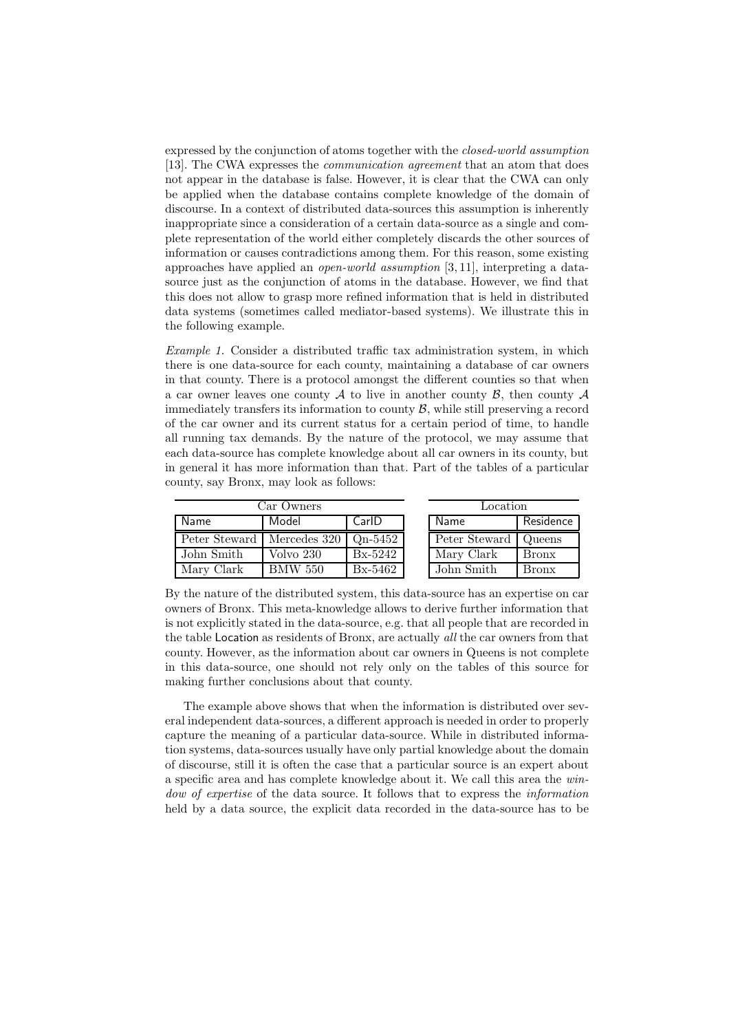expressed by the conjunction of atoms together with the closed-world assumption [13]. The CWA expresses the communication agreement that an atom that does not appear in the database is false. However, it is clear that the CWA can only be applied when the database contains complete knowledge of the domain of discourse. In a context of distributed data-sources this assumption is inherently inappropriate since a consideration of a certain data-source as a single and complete representation of the world either completely discards the other sources of information or causes contradictions among them. For this reason, some existing approaches have applied an open-world assumption [3, 11], interpreting a datasource just as the conjunction of atoms in the database. However, we find that this does not allow to grasp more refined information that is held in distributed data systems (sometimes called mediator-based systems). We illustrate this in the following example.

Example 1. Consider a distributed traffic tax administration system, in which there is one data-source for each county, maintaining a database of car owners in that county. There is a protocol amongst the different counties so that when a car owner leaves one county  $A$  to live in another county  $B$ , then county  $A$ immediately transfers its information to county  $\mathcal{B}$ , while still preserving a record of the car owner and its current status for a certain period of time, to handle all running tax demands. By the nature of the protocol, we may assume that each data-source has complete knowledge about all car owners in its county, but in general it has more information than that. Part of the tables of a particular county, say Bronx, may look as follows:

| Car Owners                   |                |         | Location               |              |
|------------------------------|----------------|---------|------------------------|--------------|
| Name                         | Model          | CarlD   | Name                   | Residence    |
| Peter Steward   Mercedes 320 |                | Qn-5452 | Peter Steward   Queens |              |
| John Smith                   | Volvo 230      | Bx-5242 | Mary Clark             | <b>Bronx</b> |
| Mary Clark                   | <b>BMW 550</b> | Bx-5462 | John Smith             | <b>Bronx</b> |

By the nature of the distributed system, this data-source has an expertise on car owners of Bronx. This meta-knowledge allows to derive further information that is not explicitly stated in the data-source, e.g. that all people that are recorded in the table Location as residents of Bronx, are actually all the car owners from that county. However, as the information about car owners in Queens is not complete in this data-source, one should not rely only on the tables of this source for making further conclusions about that county.

The example above shows that when the information is distributed over several independent data-sources, a different approach is needed in order to properly capture the meaning of a particular data-source. While in distributed information systems, data-sources usually have only partial knowledge about the domain of discourse, still it is often the case that a particular source is an expert about a specific area and has complete knowledge about it. We call this area the window of expertise of the data source. It follows that to express the *information* held by a data source, the explicit data recorded in the data-source has to be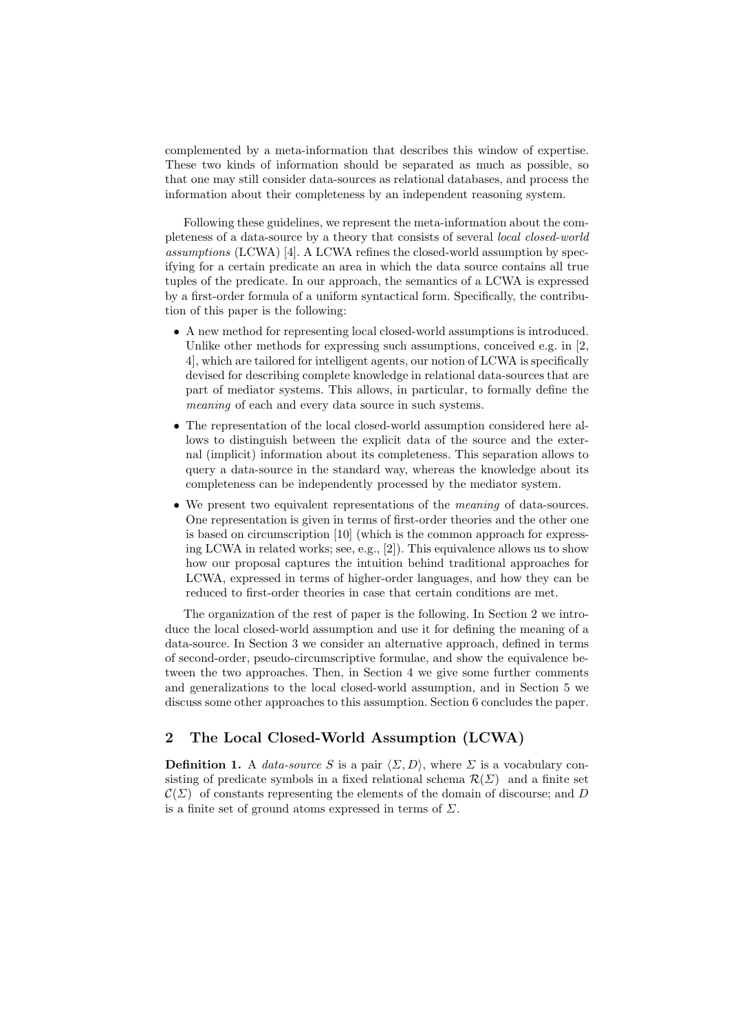complemented by a meta-information that describes this window of expertise. These two kinds of information should be separated as much as possible, so that one may still consider data-sources as relational databases, and process the information about their completeness by an independent reasoning system.

Following these guidelines, we represent the meta-information about the completeness of a data-source by a theory that consists of several local closed-world assumptions (LCWA) [4]. A LCWA refines the closed-world assumption by specifying for a certain predicate an area in which the data source contains all true tuples of the predicate. In our approach, the semantics of a LCWA is expressed by a first-order formula of a uniform syntactical form. Specifically, the contribution of this paper is the following:

- A new method for representing local closed-world assumptions is introduced. Unlike other methods for expressing such assumptions, conceived e.g. in [2, 4], which are tailored for intelligent agents, our notion of LCWA is specifically devised for describing complete knowledge in relational data-sources that are part of mediator systems. This allows, in particular, to formally define the meaning of each and every data source in such systems.
- The representation of the local closed-world assumption considered here allows to distinguish between the explicit data of the source and the external (implicit) information about its completeness. This separation allows to query a data-source in the standard way, whereas the knowledge about its completeness can be independently processed by the mediator system.
- We present two equivalent representations of the meaning of data-sources. One representation is given in terms of first-order theories and the other one is based on circumscription [10] (which is the common approach for expressing LCWA in related works; see, e.g., [2]). This equivalence allows us to show how our proposal captures the intuition behind traditional approaches for LCWA, expressed in terms of higher-order languages, and how they can be reduced to first-order theories in case that certain conditions are met.

The organization of the rest of paper is the following. In Section 2 we introduce the local closed-world assumption and use it for defining the meaning of a data-source. In Section 3 we consider an alternative approach, defined in terms of second-order, pseudo-circumscriptive formulae, and show the equivalence between the two approaches. Then, in Section 4 we give some further comments and generalizations to the local closed-world assumption, and in Section 5 we discuss some other approaches to this assumption. Section 6 concludes the paper.

# 2 The Local Closed-World Assumption (LCWA)

**Definition 1.** A data-source S is a pair  $\langle \Sigma, D \rangle$ , where  $\Sigma$  is a vocabulary consisting of predicate symbols in a fixed relational schema  $\mathcal{R}(\Sigma)$  and a finite set  $\mathcal{C}(\Sigma)$  of constants representing the elements of the domain of discourse; and D is a finite set of ground atoms expressed in terms of  $\Sigma$ .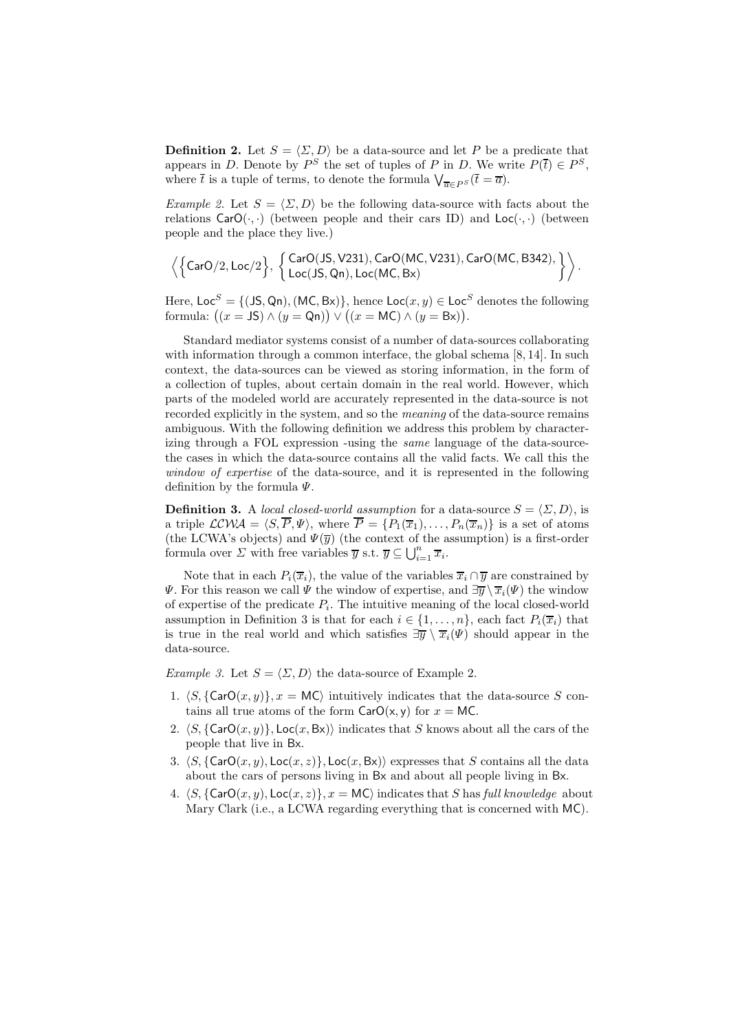**Definition 2.** Let  $S = \langle \Sigma, D \rangle$  be a data-source and let P be a predicate that appears in D. Denote by  $P^S$  the set of tuples of P in D. We write  $P(\bar{t}) \in P^S$ , where  $\bar{t}$  is a tuple of terms, to denote the formula  $\sqrt{\overline{a}} \in P^S(\bar{t} = \bar{a})$ .

Example 2. Let  $S = \langle \Sigma, D \rangle$  be the following data-source with facts about the relations  $\text{CarO}(\cdot, \cdot)$  (between people and their cars ID) and  $\text{Loc}(\cdot, \cdot)$  (between people and the place they live.)

$$
\left\langle \left\{ \mathsf{CarO}/2, \mathsf{Loc}/2 \right\}, \, \left\{ \begin{matrix} \mathsf{CarO(JS, V231), CarO(MC, V231), CarO(MC, B342),} \\ \mathsf{Loc(JS, Qn), Loc(MC, Bx)} \end{matrix} \right\} \right\rangle.
$$

Here, Loc<sup>S</sup> = {(JS, Qn), (MC, Bx)}, hence Loc $(x, y) \in \mathsf{Loc}^S$  denotes the following formula:  $((x = JS) \land (y = Qn)) \lor ((x = MC) \land (y = Bx)).$ 

Standard mediator systems consist of a number of data-sources collaborating with information through a common interface, the global schema  $[8, 14]$ . In such context, the data-sources can be viewed as storing information, in the form of a collection of tuples, about certain domain in the real world. However, which parts of the modeled world are accurately represented in the data-source is not recorded explicitly in the system, and so the *meaning* of the data-source remains ambiguous. With the following definition we address this problem by characterizing through a FOL expression -using the same language of the data-sourcethe cases in which the data-source contains all the valid facts. We call this the window of expertise of the data-source, and it is represented in the following definition by the formula  $\Psi$ .

**Definition 3.** A *local closed-world assumption* for a data-source  $S = \langle \Sigma, D \rangle$ , is a triple  $LCWA = \langle S, \overline{P}, \Psi \rangle$ , where  $\overline{P} = \{P_1(\overline{x}_1), \ldots, P_n(\overline{x}_n)\}$  is a set of atoms (the LCWA's objects) and  $\Psi(\overline{y})$  (the context of the assumption) is a first-order formula over  $\Sigma$  with free variables  $\overline{y}$  s.t.  $\overline{y} \subseteq \bigcup_{i=1}^n \overline{x}_i$ .

Note that in each  $P_i(\overline{x}_i)$ , the value of the variables  $\overline{x}_i \cap \overline{y}$  are constrained by Ψ. For this reason we call Ψ the window of expertise, and  $\exists \overline{y} \setminus \overline{x}_i(\Psi)$  the window of expertise of the predicate  $P_i$ . The intuitive meaning of the local closed-world assumption in Definition 3 is that for each  $i \in \{1, \ldots, n\}$ , each fact  $P_i(\overline{x}_i)$  that is true in the real world and which satisfies  $\exists \overline{y} \setminus \overline{x}_i(\Psi)$  should appear in the data-source.

Example 3. Let  $S = \langle \Sigma, D \rangle$  the data-source of Example 2.

- 1.  $\langle S, {\sf CarO}(x, y) \rangle$ ,  $x = MC$  intuitively indicates that the data-source S contains all true atoms of the form  $\text{CarO}(x, y)$  for  $x = MC$ .
- 2.  $\langle S, \{ \text{CarO}(x, y) \}, \text{Loc}(x, Bx) \rangle$  indicates that S knows about all the cars of the people that live in Bx.
- 3.  $\langle S, \{\text{CarO}(x, y), \text{Loc}(x, z)\}, \text{Loc}(x, Bx)\rangle$  expresses that S contains all the data about the cars of persons living in Bx and about all people living in Bx.
- 4.  $\langle S, {\sf CarO}(x, y), {\sf Loc}(x, z) \rangle$ ,  $x = MC$  indicates that S has full knowledge about Mary Clark (i.e., a LCWA regarding everything that is concerned with MC).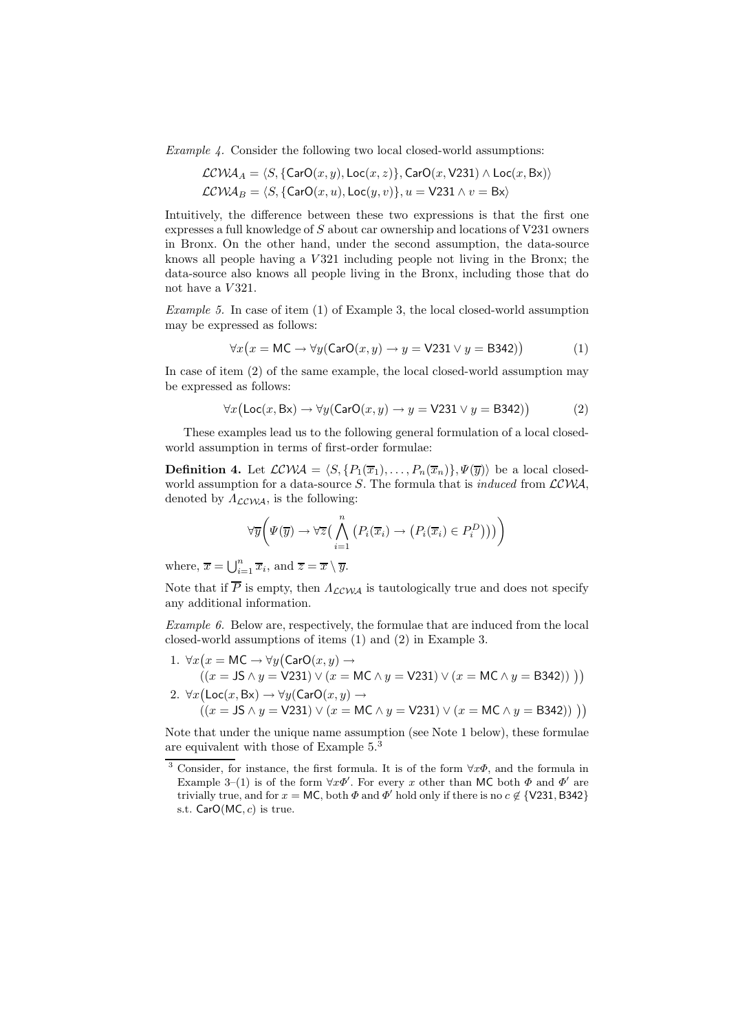Example 4. Consider the following two local closed-world assumptions:

$$
\mathcal{LCWA}_A = \langle S, \{ \mathsf{CarO}(x, y), \mathsf{Loc}(x, z) \}, \mathsf{CarO}(x, \mathsf{V231}) \land \mathsf{Loc}(x, \mathsf{B} \mathsf{x}) \rangle
$$
  

$$
\mathcal{LCWA}_B = \langle S, \{ \mathsf{CarO}(x, u), \mathsf{Loc}(y, v) \}, u = \mathsf{V231} \land v = \mathsf{B} \mathsf{x} \rangle
$$

Intuitively, the difference between these two expressions is that the first one expresses a full knowledge of  $S$  about car ownership and locations of V231 owners in Bronx. On the other hand, under the second assumption, the data-source knows all people having a V321 including people not living in the Bronx; the data-source also knows all people living in the Bronx, including those that do not have a  $V321$ .

Example 5. In case of item (1) of Example 3, the local closed-world assumption may be expressed as follows:

$$
\forall x \big(x = \mathsf{MC} \to \forall y (\mathsf{CarO}(x, y) \to y = \mathsf{V231} \lor y = \mathsf{B342})\big) \tag{1}
$$

In case of item (2) of the same example, the local closed-world assumption may be expressed as follows:

$$
\forall x (\mathsf{Loc}(x, \mathsf{Bx}) \to \forall y (\mathsf{CarO}(x, y) \to y = \mathsf{V231} \lor y = \mathsf{B342}))\tag{2}
$$

These examples lead us to the following general formulation of a local closedworld assumption in terms of first-order formulae:

**Definition 4.** Let  $LCWA = \langle S, \{P_1(\overline{x}_1), \ldots, P_n(\overline{x}_n)\}, \Psi(\overline{y})\rangle$  be a local closedworld assumption for a data-source S. The formula that is *induced* from  $LCWA$ , denoted by  $\Lambda_{\mathcal{LCWA}}$ , is the following:

$$
\forall \overline{y} \bigg( \Psi(\overline{y}) \to \forall \overline{z} \big( \bigwedge_{i=1}^{n} \big( P_i(\overline{x}_i) \to \big( P_i(\overline{x}_i) \in P_i^D \big) \big) \big) \bigg)
$$

where,  $\overline{x} = \bigcup_{i=1}^{n} \overline{x}_i$ , and  $\overline{z} = \overline{x} \setminus \overline{y}$ .

Note that if  $\overline{P}$  is empty, then  $\Lambda_{\mathcal{LCWA}}$  is tautologically true and does not specify any additional information.

Example 6. Below are, respectively, the formulae that are induced from the local closed-world assumptions of items (1) and (2) in Example 3.

1. 
$$
\forall x (x = MC \rightarrow \forall y (CarO(x, y) \rightarrow ((x = MC \land y = V231) \lor (x = MC \land y = B342))) ))
$$
  
\n2. 
$$
\forall x (Loc(x, Bx) \rightarrow \forall y (CarO(x, y) \rightarrow ((x = MC \land y = V231) \lor (x = MC \land y = B342))))
$$
  
\n
$$
((x = JS \land y = V231) \lor (x = MC \land y = V231) \lor (x = MC \land y = B342)))
$$

Note that under the unique name assumption (see Note 1 below), these formulae are equivalent with those of Example 5.<sup>3</sup>

<sup>&</sup>lt;sup>3</sup> Consider, for instance, the first formula. It is of the form  $\forall x \Phi$ , and the formula in Example 3–(1) is of the form  $\forall x \Phi'$ . For every x other than MC both  $\Phi$  and  $\Phi'$  are trivially true, and for  $x = \mathsf{MC}$ , both  $\Phi$  and  $\Phi'$  hold only if there is no  $c \notin \{\mathsf{V231},\mathsf{B342}\}$ s.t.  $\mathsf{CarO}(\mathsf{MC}, c)$  is true.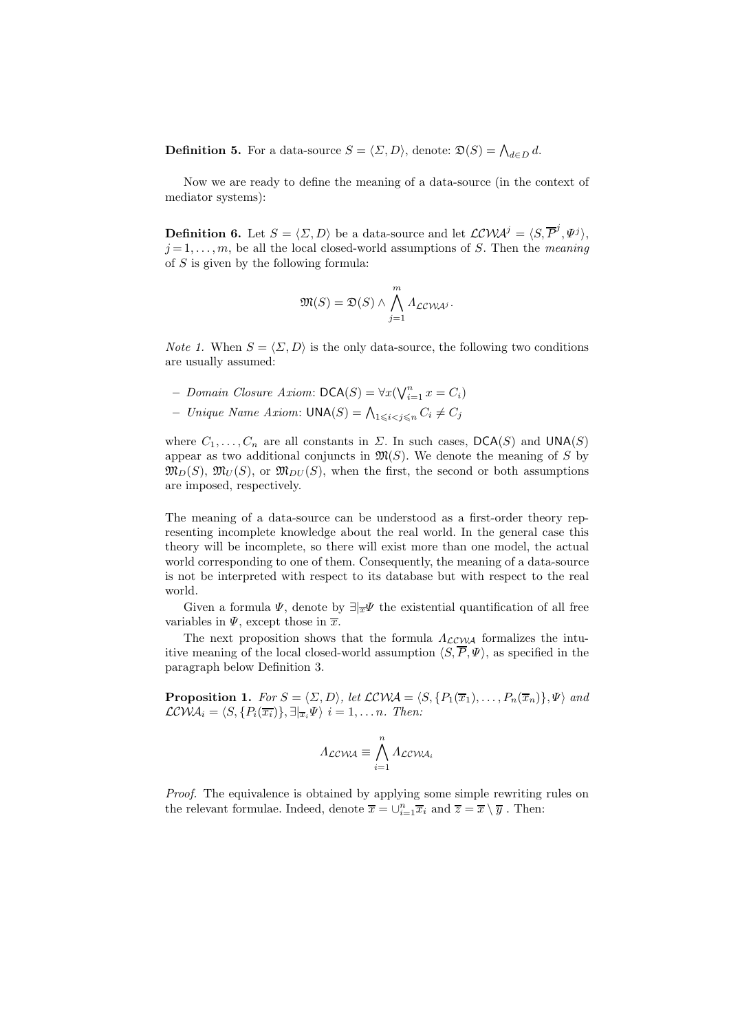**Definition 5.** For a data-source  $S = \langle \Sigma, D \rangle$ , denote:  $\mathfrak{D}(S) = \bigwedge_{d \in D} d$ .

Now we are ready to define the meaning of a data-source (in the context of mediator systems):

**Definition 6.** Let  $S = \langle \Sigma, D \rangle$  be a data-source and let  $LCWA^j = \langle S, \overline{P}^j, \Psi^j \rangle$ ,  $j = 1, \ldots, m$ , be all the local closed-world assumptions of S. Then the *meaning* of  $S$  is given by the following formula:

$$
\mathfrak{M}(S) = \mathfrak{D}(S) \wedge \bigwedge_{j=1}^{m} \Lambda_{\mathcal{LCWA}^j}.
$$

*Note 1.* When  $S = \langle \Sigma, D \rangle$  is the only data-source, the following two conditions are usually assumed:

- Domain Closure Axiom:  $\mathsf{DCA}(S) = \forall x (\bigvee_{i=1}^{n} x = C_i)$
- Unique Name Axiom:  $\mathsf{UNA}(S) = \bigwedge_{1 \leq i < j \leq n} C_i \neq C_j$

where  $C_1, \ldots, C_n$  are all constants in  $\Sigma$ . In such cases, DCA(S) and UNA(S) appear as two additional conjuncts in  $\mathfrak{M}(S)$ . We denote the meaning of S by  $\mathfrak{M}_D(S)$ ,  $\mathfrak{M}_U(S)$ , or  $\mathfrak{M}_{DU}(S)$ , when the first, the second or both assumptions are imposed, respectively.

The meaning of a data-source can be understood as a first-order theory representing incomplete knowledge about the real world. In the general case this theory will be incomplete, so there will exist more than one model, the actual world corresponding to one of them. Consequently, the meaning of a data-source is not be interpreted with respect to its database but with respect to the real world.

Given a formula  $\Psi$ , denote by  $\exists \pi \Psi$  the existential quantification of all free variables in  $\Psi$ , except those in  $\overline{x}$ .

The next proposition shows that the formula  $\Lambda_{\mathcal{LCWA}}$  formalizes the intuitive meaning of the local closed-world assumption  $\langle S, \overline{P}, \Psi \rangle$ , as specified in the paragraph below Definition 3.

**Proposition 1.** For  $S = \langle \Sigma, D \rangle$ , let  $LCWA = \langle S, \{P_1(\overline{x}_1), \ldots, P_n(\overline{x}_n)\}, \Psi \rangle$  and  $LCWA_i = \langle S, \{P_i(\overline{x_i})\}, \exists |\overline{x_i}\Psi\rangle \ i = 1, \ldots n$ . Then:

$$
\Lambda_{\mathcal{LCWA}} \equiv \bigwedge_{i=1}^{n} \Lambda_{\mathcal{LCWA}_{i}}
$$

Proof. The equivalence is obtained by applying some simple rewriting rules on the relevant formulae. Indeed, denote  $\overline{x} = \cup_{i=1}^n \overline{x}_i$  and  $\overline{z} = \overline{x} \setminus \overline{y}$ . Then: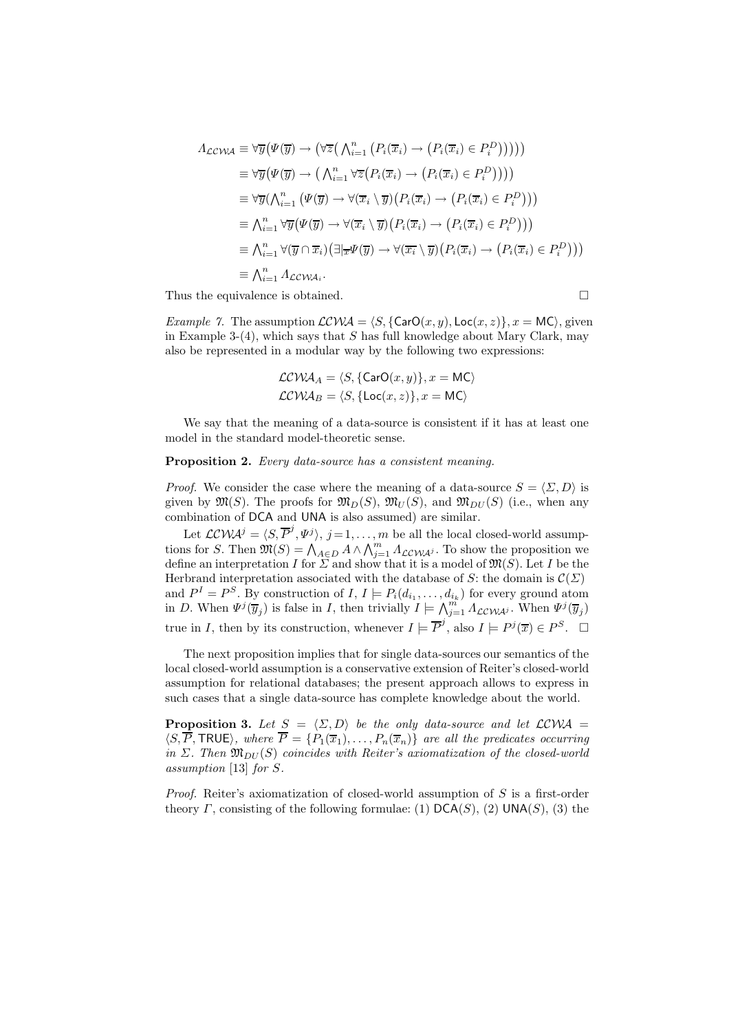$$
\Lambda_{LCWA} \equiv \forall \overline{y} (\Psi(\overline{y}) \to (\forall \overline{z} (\Lambda_{i=1}^n (P_i(\overline{x}_i) \to (P_i(\overline{x}_i) \in P_i^D))))
$$
  
\n
$$
\equiv \forall \overline{y} (\Psi(\overline{y}) \to (\Lambda_{i=1}^n \forall \overline{z} (P_i(\overline{x}_i) \to (P_i(\overline{x}_i) \in P_i^D))))
$$
  
\n
$$
\equiv \forall \overline{y} (\Lambda_{i=1}^n (\Psi(\overline{y}) \to \forall (\overline{x}_i \setminus \overline{y}) (P_i(\overline{x}_i) \to (P_i(\overline{x}_i) \in P_i^D)))
$$
  
\n
$$
\equiv \Lambda_{i=1}^n \forall \overline{y} (\Psi(\overline{y}) \to \forall (\overline{x}_i \setminus \overline{y}) (P_i(\overline{x}_i) \to (P_i(\overline{x}_i) \in P_i^D)))
$$
  
\n
$$
\equiv \Lambda_{i=1}^n \forall (\overline{y} \cap \overline{x}_i) (\exists \overline{x} \setminus \overline{y}) \to \forall (\overline{x}_i \setminus \overline{y}) (P_i(\overline{x}_i) \to (P_i(\overline{x}_i) \in P_i^D)))
$$
  
\n
$$
\equiv \Lambda_{i=1}^n \Lambda_{LCWA_i}.
$$

Thus the equivalence is obtained.

*Example 7.* The assumption  $LCWA = \langle S, \{ \text{CarO}(x, y), \text{Loc}(x, z) \}, x = MC \rangle$ , given in Example 3-(4), which says that  $S$  has full knowledge about Mary Clark, may also be represented in a modular way by the following two expressions:

$$
\mathcal{LCWA}_A = \langle S, \{ \mathsf{CarO}(x, y) \}, x = \mathsf{MC} \rangle
$$
  

$$
\mathcal{LCWA}_B = \langle S, \{ \mathsf{Loc}(x, z) \}, x = \mathsf{MC} \rangle
$$

We say that the meaning of a data-source is consistent if it has at least one model in the standard model-theoretic sense.

#### Proposition 2. Every data-source has a consistent meaning.

*Proof.* We consider the case where the meaning of a data-source  $S = \langle \Sigma, D \rangle$  is given by  $\mathfrak{M}(S)$ . The proofs for  $\mathfrak{M}_D(S)$ ,  $\mathfrak{M}_U(S)$ , and  $\mathfrak{M}_{DU}(S)$  (i.e., when any combination of DCA and UNA is also assumed) are similar.

Let  $\mathcal{LCWA}^j = \langle S, \overline{P}^j, \Psi^j \rangle, j = 1, \ldots, m$  be all the local closed-world assumptions for S. Then  $\mathfrak{M}(S) = \bigwedge_{A \in D} A \wedge \bigwedge_{j=1}^{m} A_{\mathcal{LCWA}^j}$ . To show the proposition we define an interpretation I for  $\Sigma$  and show that it is a model of  $\mathfrak{M}(S)$ . Let I be the Herbrand interpretation associated with the database of S: the domain is  $\mathcal{C}(\Sigma)$ and  $P^I = P^S$ . By construction of  $I, I \models P_i(d_{i_1}, \ldots, d_{i_k})$  for every ground atom in D. When  $\Psi^j(\overline{y}_j)$  is false in I, then trivially  $I \models \bigwedge_{j=1}^{m} A_{\mathcal{LCWA}^j}$ . When  $\Psi^j(\overline{y}_j)$ true in I, then by its construction, whenever  $I \models \overline{P}^j$ , also  $I \models P^j(\overline{x}) \in P^S$ .  $\Box$ 

The next proposition implies that for single data-sources our semantics of the local closed-world assumption is a conservative extension of Reiter's closed-world assumption for relational databases; the present approach allows to express in such cases that a single data-source has complete knowledge about the world.

**Proposition 3.** Let  $S = \langle \Sigma, D \rangle$  be the only data-source and let  $LCWA$  $\langle S, \overline{\vec{P}}, \textsf{TRUE} \rangle$ , where  $\overline{P} = \{P_1(\overline{x}_1), \ldots, P_n(\overline{x}_n)\}$  are all the predicates occurring in Σ. Then  $\mathfrak{M}_{DU}(S)$  coincides with Reiter's axiomatization of the closed-world assumption [13] for S.

*Proof.* Reiter's axiomatization of closed-world assumption of  $S$  is a first-order theory  $\Gamma$ , consisting of the following formulae: (1)  $\mathsf{DCA}(S)$ , (2)  $\mathsf{UNA}(S)$ , (3) the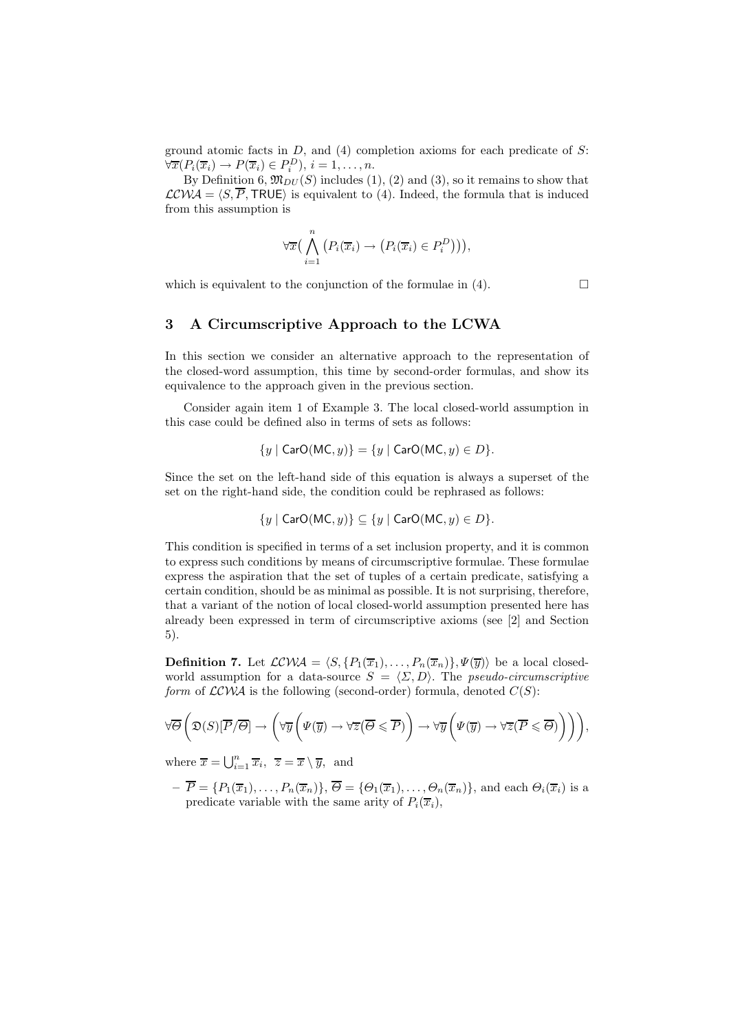ground atomic facts in  $D$ , and (4) completion axioms for each predicate of  $S$ :  $\forall \overline{x}(P_i(\overline{x}_i) \rightarrow P(\overline{x}_i) \in P_i^D), i = 1, \ldots, n.$ 

By Definition 6,  $\mathfrak{M}_{DU}(S)$  includes (1), (2) and (3), so it remains to show that  $LCWA = \langle S, \overline{P}, \text{TRUE} \rangle$  is equivalent to (4). Indeed, the formula that is induced from this assumption is

$$
\forall \overline{x} \big( \bigwedge_{i=1}^{n} \big( P_i(\overline{x}_i) \to \big( P_i(\overline{x}_i) \in P_i^D \big) \big) \big),
$$

which is equivalent to the conjunction of the formulae in (4).  $\Box$ 

## 3 A Circumscriptive Approach to the LCWA

In this section we consider an alternative approach to the representation of the closed-word assumption, this time by second-order formulas, and show its equivalence to the approach given in the previous section.

Consider again item 1 of Example 3. The local closed-world assumption in this case could be defined also in terms of sets as follows:

$$
\{y \mid \mathsf{CarO}(\mathsf{MC}, y)\} = \{y \mid \mathsf{CarO}(\mathsf{MC}, y) \in D\}.
$$

Since the set on the left-hand side of this equation is always a superset of the set on the right-hand side, the condition could be rephrased as follows:

$$
\{y \mid \mathsf{CarO}(\mathsf{MC}, y)\} \subseteq \{y \mid \mathsf{CarO}(\mathsf{MC}, y) \in D\}.
$$

This condition is specified in terms of a set inclusion property, and it is common to express such conditions by means of circumscriptive formulae. These formulae express the aspiration that the set of tuples of a certain predicate, satisfying a certain condition, should be as minimal as possible. It is not surprising, therefore, that a variant of the notion of local closed-world assumption presented here has already been expressed in term of circumscriptive axioms (see [2] and Section 5).

**Definition 7.** Let  $LCWA = \langle S, \{P_1(\overline{x}_1), \ldots, P_n(\overline{x}_n)\}, \Psi(\overline{y})\rangle$  be a local closedworld assumption for a data-source  $S = \langle \Sigma, D \rangle$ . The pseudo-circumscriptive form of  $LCWA$  is the following (second-order) formula, denoted  $C(S)$ :

$$
\forall \overline{\Theta} \left( \mathfrak{D}(S)[\overline{P}/\overline{\Theta}] \rightarrow \left( \forall \overline{y} \left( \Psi(\overline{y}) \rightarrow \forall \overline{z} \left( \overline{\Theta} \leqslant \overline{P} \right) \right) \rightarrow \forall \overline{y} \left( \Psi(\overline{y}) \rightarrow \forall \overline{z} \left( \overline{P} \leqslant \overline{\Theta} \right) \right) \right),
$$

where  $\overline{x} = \bigcup_{i=1}^{n} \overline{x}_i$ ,  $\overline{z} = \overline{x} \setminus \overline{y}$ , and

 $-\overline{P} = \{P_1(\overline{x}_1), \ldots, P_n(\overline{x}_n)\}, \overline{\Theta} = \{\Theta_1(\overline{x}_1), \ldots, \Theta_n(\overline{x}_n)\}, \text{ and each } \Theta_i(\overline{x}_i) \text{ is a }$ predicate variable with the same arity of  $P_i(\overline{x}_i)$ ,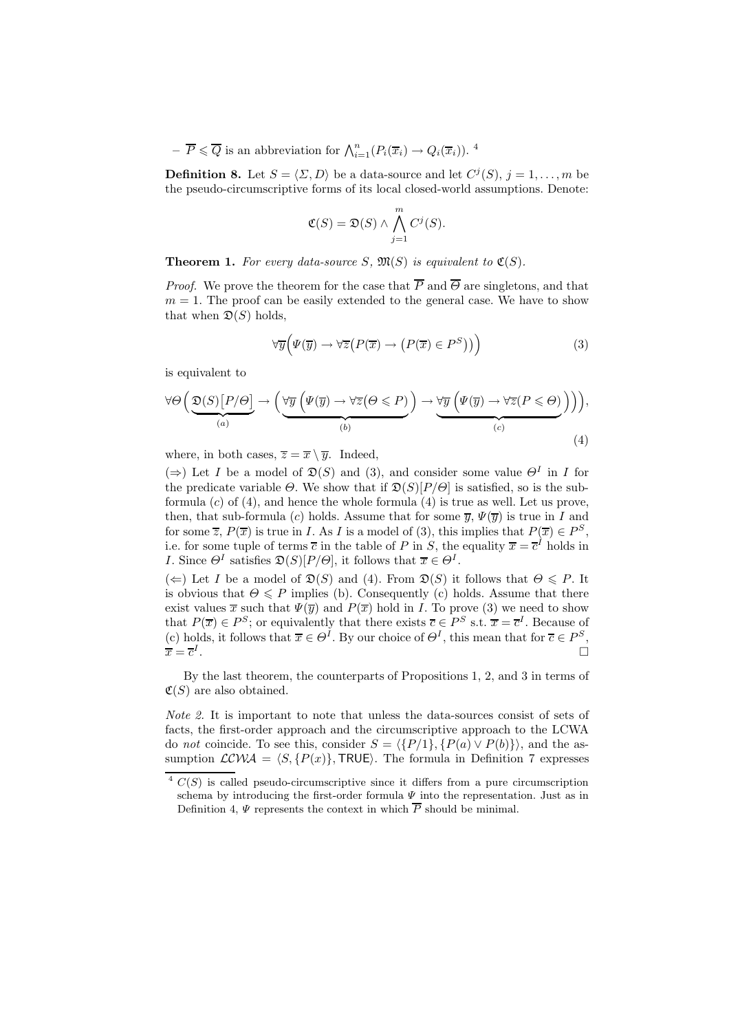$-\overline{P}\leqslant\overline{Q}$  is an abbreviation for  $\bigwedge_{i=1}^{n}(P_i(\overline{x}_i)\rightarrow Q_i(\overline{x}_i))$ . <sup>4</sup>

**Definition 8.** Let  $S = \langle \Sigma, D \rangle$  be a data-source and let  $C^j(S)$ ,  $j = 1, ..., m$  be the pseudo-circumscriptive forms of its local closed-world assumptions. Denote:

$$
\mathfrak{C}(S) = \mathfrak{D}(S) \wedge \bigwedge_{j=1}^{m} C^{j}(S).
$$

**Theorem 1.** For every data-source S,  $\mathfrak{M}(S)$  is equivalent to  $\mathfrak{C}(S)$ .

*Proof.* We prove the theorem for the case that  $\overline{P}$  and  $\overline{\Theta}$  are singletons, and that  $m = 1$ . The proof can be easily extended to the general case. We have to show that when  $\mathfrak{D}(S)$  holds,

$$
\forall \overline{y} \Big( \Psi(\overline{y}) \to \forall \overline{z} \big( P(\overline{x}) \to \big( P(\overline{x}) \in P^S \big) \big) \Big) \tag{3}
$$

is equivalent to

$$
\forall \Theta \Big( \underbrace{\mathfrak{D}(S)[P/\Theta]}_{(a)} \to \Big( \underbrace{\forall \overline{y} \Big( \Psi(\overline{y}) \to \forall \overline{z} \big( \Theta \leqslant P \big)}_{(b)} \Big) \to \underbrace{\forall \overline{y} \Big( \Psi(\overline{y}) \to \forall \overline{z} \big( P \leqslant \Theta \big)}_{(c)} \Big) \Big),
$$
\n
$$
(4)
$$

where, in both cases,  $\overline{z} = \overline{x} \setminus \overline{y}$ . Indeed,

 $(\Rightarrow)$  Let *I* be a model of  $\mathfrak{D}(S)$  and (3), and consider some value  $\Theta^I$  in *I* for the predicate variable  $\Theta$ . We show that if  $\mathfrak{D}(S)[P/\Theta]$  is satisfied, so is the subformula  $(c)$  of  $(4)$ , and hence the whole formula  $(4)$  is true as well. Let us prove, then, that sub-formula (c) holds. Assume that for some  $\overline{y}$ ,  $\Psi(\overline{y})$  is true in I and for some  $\overline{z}$ ,  $P(\overline{x})$  is true in I. As I is a model of (3), this implies that  $P(\overline{x}) \in P^S$ , i.e. for some tuple of terms  $\bar{c}$  in the table of P in S, the equality  $\bar{x} = \bar{c}^I$  holds in *I*. Since  $\Theta^I$  satisfies  $\mathfrak{D}(S)[P/\Theta]$ , it follows that  $\overline{x} \in \Theta^I$ .

 $(\Leftarrow)$  Let I be a model of  $\mathfrak{D}(S)$  and (4). From  $\mathfrak{D}(S)$  it follows that  $\Theta \leq P$ . It is obvious that  $\Theta \leqslant P$  implies (b). Consequently (c) holds. Assume that there exist values  $\bar{x}$  such that  $\Psi(\bar{y})$  and  $P(\bar{x})$  hold in I. To prove (3) we need to show that  $P(\overline{x}) \in P^S$ ; or equivalently that there exists  $\overline{c} \in P^S$  s.t.  $\overline{x} = \overline{c}^I$ . Because of (c) holds, it follows that  $\overline{x} \in \Theta^I$ . By our choice of  $\Theta^I$ , this mean that for  $\overline{c} \in P^S$ ,  $\overline{x} = \overline{c}^I$ .

By the last theorem, the counterparts of Propositions 1, 2, and 3 in terms of  $\mathfrak{C}(S)$  are also obtained.

Note 2. It is important to note that unless the data-sources consist of sets of facts, the first-order approach and the circumscriptive approach to the LCWA do not coincide. To see this, consider  $S = \langle {P/1}, {P(a) \vee P(b)} \rangle$ , and the assumption  $LCWA = \langle S, {P(x)} \rangle$ , TRUE). The formula in Definition 7 expresses

 $4 \, C(S)$  is called pseudo-circumscriptive since it differs from a pure circumscription schema by introducing the first-order formula  $\Psi$  into the representation. Just as in Definition 4,  $\Psi$  represents the context in which  $\overline{P}$  should be minimal.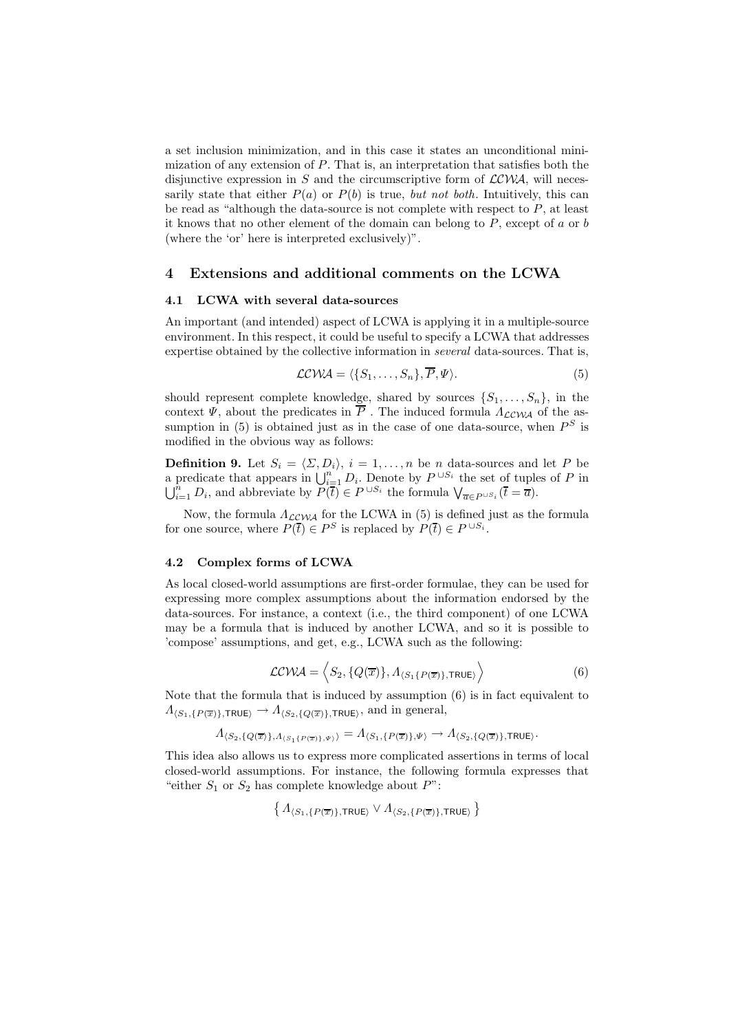a set inclusion minimization, and in this case it states an unconditional minimization of any extension of  $P$ . That is, an interpretation that satisfies both the disjunctive expression in  $S$  and the circumscriptive form of  $LCWA$ , will necessarily state that either  $P(a)$  or  $P(b)$  is true, but not both. Intuitively, this can be read as "although the data-source is not complete with respect to  $P$ , at least it knows that no other element of the domain can belong to  $P$ , except of  $a$  or  $b$ (where the 'or' here is interpreted exclusively)".

#### 4 Extensions and additional comments on the LCWA

#### 4.1 LCWA with several data-sources

An important (and intended) aspect of LCWA is applying it in a multiple-source environment. In this respect, it could be useful to specify a LCWA that addresses expertise obtained by the collective information in several data-sources. That is,

$$
\mathcal{LCWA} = \langle \{S_1, \dots, S_n\}, \overline{P}, \Psi \rangle. \tag{5}
$$

should represent complete knowledge, shared by sources  $\{S_1, \ldots, S_n\}$ , in the context  $\Psi$ , about the predicates in P. The induced formula  $\Lambda_{\mathcal{LCWA}}$  of the assumption in  $(5)$  is obtained just as in the case of one data-source, when  $P<sup>S</sup>$  is modified in the obvious way as follows:

**Definition 9.** Let  $S_i = \langle \Sigma, D_i \rangle$ ,  $i = 1, ..., n$  be n data-sources and let P be a predicate that appears in  $\bigcup_{i=1}^{n} D_i$ . Denote by  $P^{\cup S_i}$  the set of tuples of P in  $\bigcup_{i=1}^{\tilde{n}} D_i$ , and abbreviate by  $P(\bar{t}) \in P^{\cup S_i}$  the formula  $\bigvee_{\bar{\alpha} \in P^{\cup S_i}} (\bar{t} = \bar{\tilde{a}}).$ 

Now, the formula  $\Lambda_{\mathcal{LCWA}}$  for the LCWA in (5) is defined just as the formula for one source, where  $P(\bar{t}) \in P^S$  is replaced by  $P(\bar{t}) \in P^{\cup S_i}$ .

#### 4.2 Complex forms of LCWA

As local closed-world assumptions are first-order formulae, they can be used for expressing more complex assumptions about the information endorsed by the data-sources. For instance, a context (i.e., the third component) of one LCWA may be a formula that is induced by another LCWA, and so it is possible to 'compose' assumptions, and get, e.g., LCWA such as the following:

$$
\mathcal{LCWA} = \langle S_2, \{Q(\overline{x})\}, \Lambda_{\langle S_1\{P(\overline{x})\}, \mathsf{TRUE}\rangle} \rangle \tag{6}
$$

Note that the formula that is induced by assumption (6) is in fact equivalent to  $A_{\langle S_1, \{P(\overline{x})\}, \mathsf{TRUE}\rangle} \rightarrow A_{\langle S_2, \{Q(\overline{x})\}, \mathsf{TRUE}\rangle}$ , and in general,

$$
\Lambda_{\langle S_2, \{Q(\overline{x})\}, \Lambda_{\langle S_1\{P(\overline{x})\}, \Psi \rangle}} = \Lambda_{\langle S_1, \{P(\overline{x})\}, \Psi \rangle} \to \Lambda_{\langle S_2, \{Q(\overline{x})\}, \mathsf{TRUE} \rangle}.
$$

This idea also allows us to express more complicated assertions in terms of local closed-world assumptions. For instance, the following formula expresses that "either  $S_1$  or  $S_2$  has complete knowledge about  $P$ ":

$$
\{A_{\langle S_1, \{P(\overline{x})\}, \mathsf{TRUE}\rangle} \lor A_{\langle S_2, \{P(\overline{x})\}, \mathsf{TRUE}\rangle}\}
$$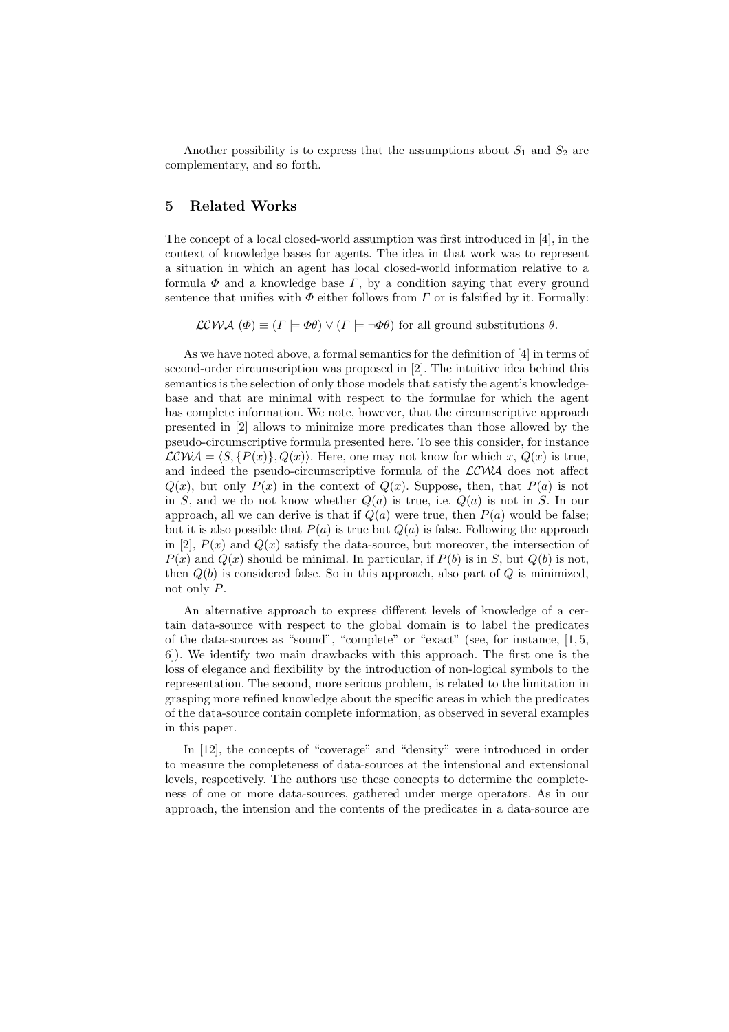Another possibility is to express that the assumptions about  $S_1$  and  $S_2$  are complementary, and so forth.

## 5 Related Works

The concept of a local closed-world assumption was first introduced in [4], in the context of knowledge bases for agents. The idea in that work was to represent a situation in which an agent has local closed-world information relative to a formula  $\Phi$  and a knowledge base  $\Gamma$ , by a condition saying that every ground sentence that unifies with  $\Phi$  either follows from  $\Gamma$  or is falsified by it. Formally:

 $LCWA (\Phi) \equiv (\Gamma \models \Phi \theta) \vee (\Gamma \models \neg \Phi \theta)$  for all ground substitutions  $\theta$ .

As we have noted above, a formal semantics for the definition of [4] in terms of second-order circumscription was proposed in [2]. The intuitive idea behind this semantics is the selection of only those models that satisfy the agent's knowledgebase and that are minimal with respect to the formulae for which the agent has complete information. We note, however, that the circumscriptive approach presented in [2] allows to minimize more predicates than those allowed by the pseudo-circumscriptive formula presented here. To see this consider, for instance  $LCWA = \langle S, \{P(x)\}, Q(x)\rangle$ . Here, one may not know for which x,  $Q(x)$  is true, and indeed the pseudo-circumscriptive formula of the  $LCWA$  does not affect  $Q(x)$ , but only  $P(x)$  in the context of  $Q(x)$ . Suppose, then, that  $P(a)$  is not in S, and we do not know whether  $Q(a)$  is true, i.e.  $Q(a)$  is not in S. In our approach, all we can derive is that if  $Q(a)$  were true, then  $P(a)$  would be false; but it is also possible that  $P(a)$  is true but  $Q(a)$  is false. Following the approach in [2],  $P(x)$  and  $Q(x)$  satisfy the data-source, but moreover, the intersection of  $P(x)$  and  $Q(x)$  should be minimal. In particular, if  $P(b)$  is in S, but  $Q(b)$  is not, then  $Q(b)$  is considered false. So in this approach, also part of Q is minimized, not only P.

An alternative approach to express different levels of knowledge of a certain data-source with respect to the global domain is to label the predicates of the data-sources as "sound", "complete" or "exact" (see, for instance, [1, 5, 6]). We identify two main drawbacks with this approach. The first one is the loss of elegance and flexibility by the introduction of non-logical symbols to the representation. The second, more serious problem, is related to the limitation in grasping more refined knowledge about the specific areas in which the predicates of the data-source contain complete information, as observed in several examples in this paper.

In [12], the concepts of "coverage" and "density" were introduced in order to measure the completeness of data-sources at the intensional and extensional levels, respectively. The authors use these concepts to determine the completeness of one or more data-sources, gathered under merge operators. As in our approach, the intension and the contents of the predicates in a data-source are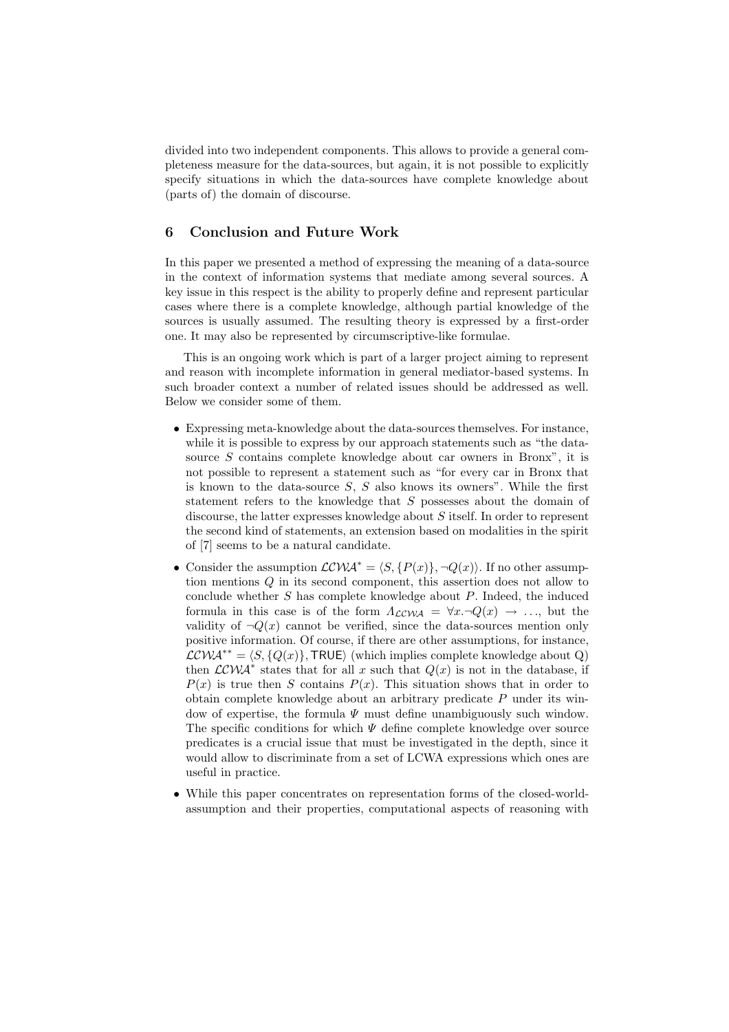divided into two independent components. This allows to provide a general completeness measure for the data-sources, but again, it is not possible to explicitly specify situations in which the data-sources have complete knowledge about (parts of) the domain of discourse.

## 6 Conclusion and Future Work

In this paper we presented a method of expressing the meaning of a data-source in the context of information systems that mediate among several sources. A key issue in this respect is the ability to properly define and represent particular cases where there is a complete knowledge, although partial knowledge of the sources is usually assumed. The resulting theory is expressed by a first-order one. It may also be represented by circumscriptive-like formulae.

This is an ongoing work which is part of a larger project aiming to represent and reason with incomplete information in general mediator-based systems. In such broader context a number of related issues should be addressed as well. Below we consider some of them.

- Expressing meta-knowledge about the data-sources themselves. For instance, while it is possible to express by our approach statements such as "the datasource S contains complete knowledge about car owners in Bronx", it is not possible to represent a statement such as "for every car in Bronx that is known to the data-source  $S$ ,  $S$  also knows its owners". While the first statement refers to the knowledge that S possesses about the domain of discourse, the latter expresses knowledge about S itself. In order to represent the second kind of statements, an extension based on modalities in the spirit of [7] seems to be a natural candidate.
- Consider the assumption  $LCWA^* = \langle S, {P(x)}, \neg Q(x) \rangle$ . If no other assumption mentions Q in its second component, this assertion does not allow to conclude whether  $S$  has complete knowledge about  $P$ . Indeed, the induced formula in this case is of the form  $\Lambda_{CCWA} = \forall x \neg Q(x) \rightarrow \dots$ , but the validity of  $\neg Q(x)$  cannot be verified, since the data-sources mention only positive information. Of course, if there are other assumptions, for instance,  $LCWA^{**} = \langle S, \{Q(x)\}\rangle$ , TRUE) (which implies complete knowledge about Q) then  $LCWA^*$  states that for all x such that  $Q(x)$  is not in the database, if  $P(x)$  is true then S contains  $P(x)$ . This situation shows that in order to obtain complete knowledge about an arbitrary predicate P under its window of expertise, the formula  $\Psi$  must define unambiguously such window. The specific conditions for which  $\Psi$  define complete knowledge over source predicates is a crucial issue that must be investigated in the depth, since it would allow to discriminate from a set of LCWA expressions which ones are useful in practice.
- While this paper concentrates on representation forms of the closed-worldassumption and their properties, computational aspects of reasoning with